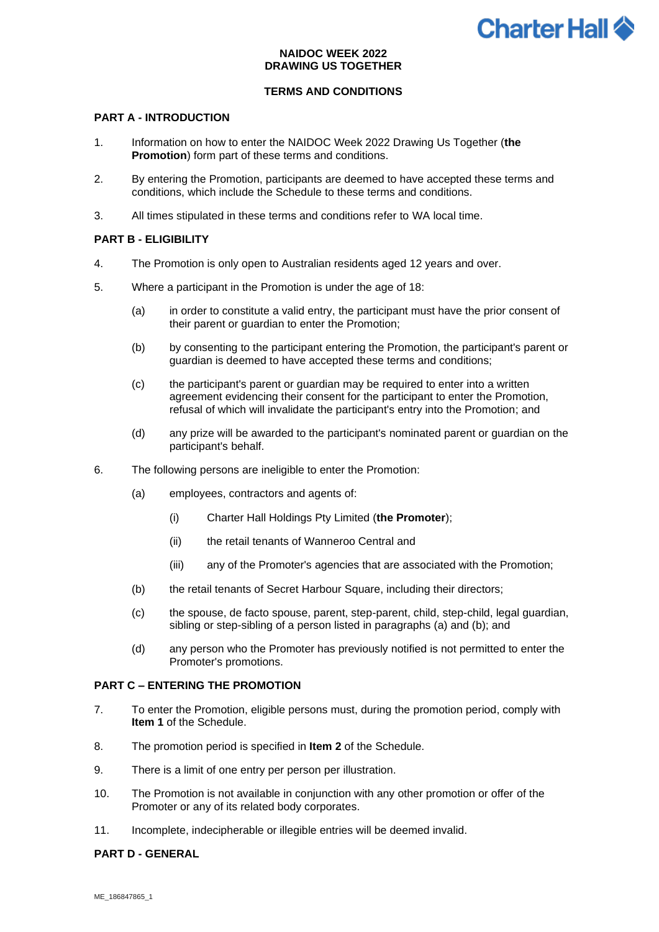# **Charter Hall <sup>2</sup>**

## **NAIDOC WEEK 2022 DRAWING US TOGETHER**

# **TERMS AND CONDITIONS**

## **PART A - INTRODUCTION**

- 1. Information on how to enter the NAIDOC Week 2022 Drawing Us Together (**the Promotion**) form part of these terms and conditions.
- 2. By entering the Promotion, participants are deemed to have accepted these terms and conditions, which include the Schedule to these terms and conditions.
- 3. All times stipulated in these terms and conditions refer to WA local time.

## **PART B - ELIGIBILITY**

- 4. The Promotion is only open to Australian residents aged 12 years and over.
- 5. Where a participant in the Promotion is under the age of 18:
	- (a) in order to constitute a valid entry, the participant must have the prior consent of their parent or guardian to enter the Promotion;
	- (b) by consenting to the participant entering the Promotion, the participant's parent or guardian is deemed to have accepted these terms and conditions;
	- (c) the participant's parent or guardian may be required to enter into a written agreement evidencing their consent for the participant to enter the Promotion, refusal of which will invalidate the participant's entry into the Promotion; and
	- (d) any prize will be awarded to the participant's nominated parent or guardian on the participant's behalf.
- 6. The following persons are ineligible to enter the Promotion:
	- (a) employees, contractors and agents of:
		- (i) Charter Hall Holdings Pty Limited (**the Promoter**);
		- (ii) the retail tenants of Wanneroo Central and
		- (iii) any of the Promoter's agencies that are associated with the Promotion;
	- (b) the retail tenants of Secret Harbour Square, including their directors;
	- (c) the spouse, de facto spouse, parent, step-parent, child, step-child, legal guardian, sibling or step-sibling of a person listed in paragraphs (a) and (b); and
	- (d) any person who the Promoter has previously notified is not permitted to enter the Promoter's promotions.

## **PART C – ENTERING THE PROMOTION**

- 7. To enter the Promotion, eligible persons must, during the promotion period, comply with **Item 1** of the Schedule.
- 8. The promotion period is specified in **Item 2** of the Schedule.
- 9. There is a limit of one entry per person per illustration.
- 10. The Promotion is not available in conjunction with any other promotion or offer of the Promoter or any of its related body corporates.
- 11. Incomplete, indecipherable or illegible entries will be deemed invalid.

#### **PART D - GENERAL**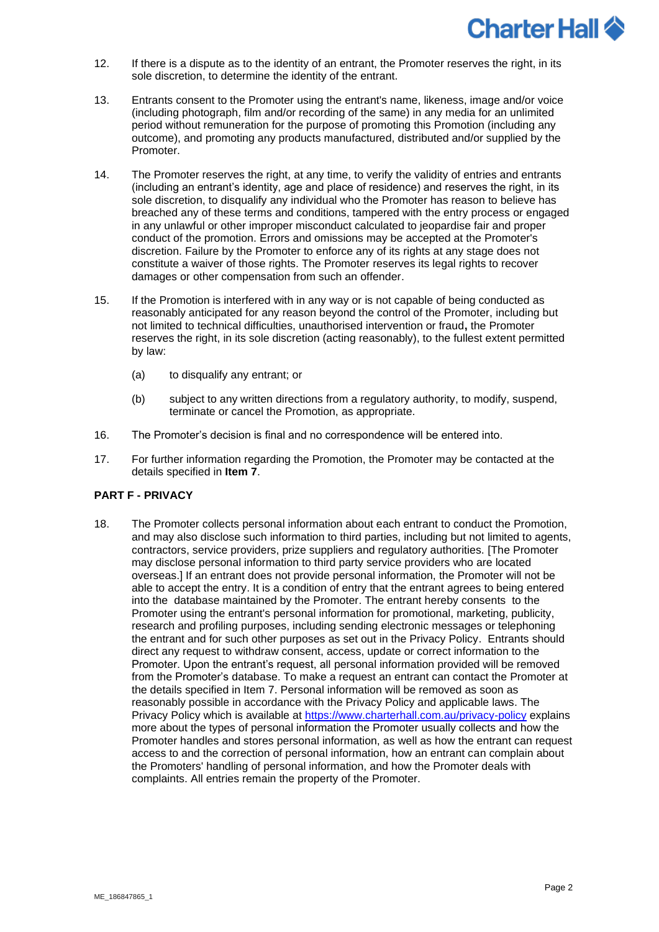

- 12. If there is a dispute as to the identity of an entrant, the Promoter reserves the right, in its sole discretion, to determine the identity of the entrant.
- 13. Entrants consent to the Promoter using the entrant's name, likeness, image and/or voice (including photograph, film and/or recording of the same) in any media for an unlimited period without remuneration for the purpose of promoting this Promotion (including any outcome), and promoting any products manufactured, distributed and/or supplied by the Promoter.
- 14. The Promoter reserves the right, at any time, to verify the validity of entries and entrants (including an entrant's identity, age and place of residence) and reserves the right, in its sole discretion, to disqualify any individual who the Promoter has reason to believe has breached any of these terms and conditions, tampered with the entry process or engaged in any unlawful or other improper misconduct calculated to jeopardise fair and proper conduct of the promotion. Errors and omissions may be accepted at the Promoter's discretion. Failure by the Promoter to enforce any of its rights at any stage does not constitute a waiver of those rights. The Promoter reserves its legal rights to recover damages or other compensation from such an offender.
- 15. If the Promotion is interfered with in any way or is not capable of being conducted as reasonably anticipated for any reason beyond the control of the Promoter, including but not limited to technical difficulties, unauthorised intervention or fraud**,** the Promoter reserves the right, in its sole discretion (acting reasonably), to the fullest extent permitted by law:
	- (a) to disqualify any entrant; or
	- (b) subject to any written directions from a regulatory authority, to modify, suspend, terminate or cancel the Promotion, as appropriate.
- 16. The Promoter's decision is final and no correspondence will be entered into.
- 17. For further information regarding the Promotion, the Promoter may be contacted at the details specified in **Item 7**.

### **PART F - PRIVACY**

18. The Promoter collects personal information about each entrant to conduct the Promotion, and may also disclose such information to third parties, including but not limited to agents, contractors, service providers, prize suppliers and regulatory authorities. [The Promoter may disclose personal information to third party service providers who are located overseas.] If an entrant does not provide personal information, the Promoter will not be able to accept the entry. It is a condition of entry that the entrant agrees to being entered into the database maintained by the Promoter. The entrant hereby consents to the Promoter using the entrant's personal information for promotional, marketing, publicity, research and profiling purposes, including sending electronic messages or telephoning the entrant and for such other purposes as set out in the Privacy Policy. Entrants should direct any request to withdraw consent, access, update or correct information to the Promoter. Upon the entrant's request, all personal information provided will be removed from the Promoter's database. To make a request an entrant can contact the Promoter at the details specified in Item 7. Personal information will be removed as soon as reasonably possible in accordance with the Privacy Policy and applicable laws. The Privacy Policy which is available at<https://www.charterhall.com.au/privacy-policy> explains more about the types of personal information the Promoter usually collects and how the Promoter handles and stores personal information, as well as how the entrant can request access to and the correction of personal information, how an entrant can complain about the Promoters' handling of personal information, and how the Promoter deals with complaints. All entries remain the property of the Promoter.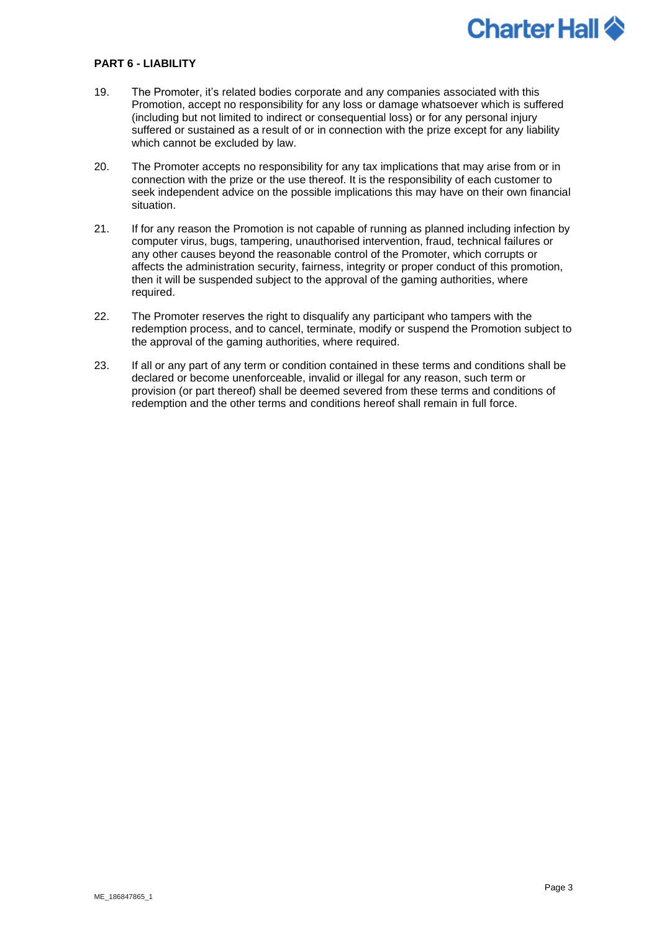# **Charter Hall 4**

### **PART 6 - LIABILITY**

- 19. The Promoter, it's related bodies corporate and any companies associated with this Promotion, accept no responsibility for any loss or damage whatsoever which is suffered (including but not limited to indirect or consequential loss) or for any personal injury suffered or sustained as a result of or in connection with the prize except for any liability which cannot be excluded by law.
- 20. The Promoter accepts no responsibility for any tax implications that may arise from or in connection with the prize or the use thereof. It is the responsibility of each customer to seek independent advice on the possible implications this may have on their own financial situation.
- 21. If for any reason the Promotion is not capable of running as planned including infection by computer virus, bugs, tampering, unauthorised intervention, fraud, technical failures or any other causes beyond the reasonable control of the Promoter, which corrupts or affects the administration security, fairness, integrity or proper conduct of this promotion, then it will be suspended subject to the approval of the gaming authorities, where required.
- 22. The Promoter reserves the right to disqualify any participant who tampers with the redemption process, and to cancel, terminate, modify or suspend the Promotion subject to the approval of the gaming authorities, where required.
- 23. If all or any part of any term or condition contained in these terms and conditions shall be declared or become unenforceable, invalid or illegal for any reason, such term or provision (or part thereof) shall be deemed severed from these terms and conditions of redemption and the other terms and conditions hereof shall remain in full force.